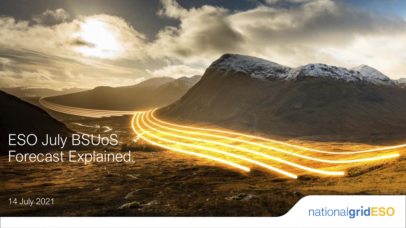# **ESO July BSUoS** Forecast Explained

14 July 2021